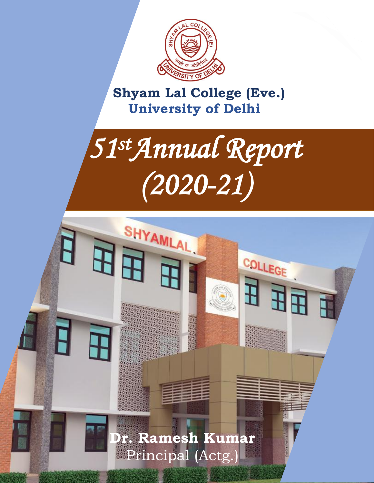

 **Shyam Lal College (Eve.) University of Delhi**

# *51 stAnnual Report (2020-21)*

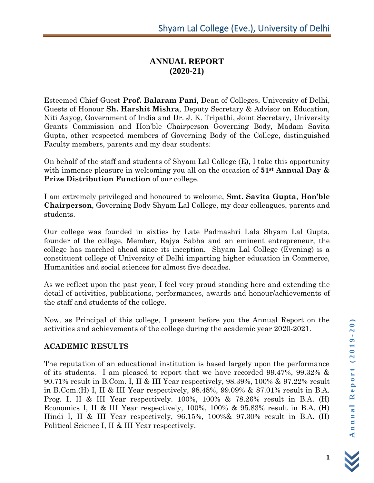# **ANNUAL REPORT (2020-21)**

Esteemed Chief Guest **Prof. Balaram Pani**, Dean of Colleges, University of Delhi, Guests of Honour **Sh. Harshit Mishra**, Deputy Secretary & Advisor on Education, Niti Aayog, Government of India and Dr. J. K. Tripathi, Joint Secretary, University Grants Commission and Hon'ble Chairperson Governing Body, Madam Savita Gupta, other respected members of Governing Body of the College, distinguished Faculty members, parents and my dear students:

On behalf of the staff and students of Shyam Lal College (E), I take this opportunity with immense pleasure in welcoming you all on the occasion of **51st Annual Day & Prize Distribution Function** of our college.

I am extremely privileged and honoured to welcome, **Smt. Savita Gupta**, **Hon'ble Chairperson**, Governing Body Shyam Lal College, my dear colleagues, parents and students.

Our college was founded in sixties by Late Padmashri Lala Shyam Lal Gupta, founder of the college, Member, Rajya Sabha and an eminent entrepreneur, the college has marched ahead since its inception. Shyam Lal College (Evening) is a constituent college of University of Delhi imparting higher education in Commerce, Humanities and social sciences for almost five decades.

As we reflect upon the past year, I feel very proud standing here and extending the detail of activities, publications, performances, awards and honour/achievements of the staff and students of the college.

Now, as Principal of this college, I present before you the Annual Report on the activities and achievements of the college during the academic year 2020-2021.

## **ACADEMIC RESULTS**

The reputation of an educational institution is based largely upon the performance of its students. I am pleased to report that we have recorded 99.47%, 99.32% & 90.71% result in B.Com. I, II & III Year respectively, 98.39%, 100% & 97.22% result in B.Com.(H) I, II & III Year respectively, 98.48%, 99.09% & 87.01% result in B.A. Prog. I, II & III Year respectively. 100%, 100% & 78.26% result in B.A. (H) Economics I, II & III Year respectively, 100%, 100% & 95.83% result in B.A. (H) Hindi I, II & III Year respectively, 96.15%, 100%& 97.30% result in B.A. (H) Political Science I, II & III Year respectively.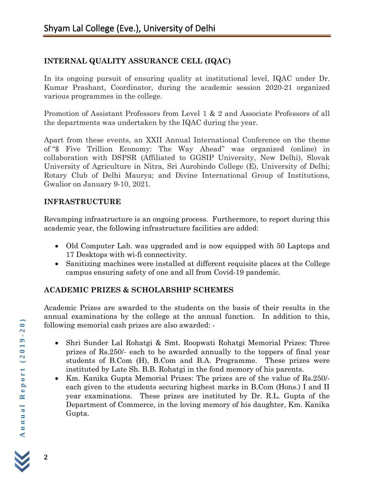## **INTERNAL QUALITY ASSURANCE CELL (IQAC)**

In its ongoing pursuit of ensuring quality at institutional level, IQAC under Dr. Kumar Prashant, Coordinator, during the academic session 2020-21 organized various programmes in the college.

Promotion of Assistant Professors from Level 1 & 2 and Associate Professors of all the departments was undertaken by the IQAC during the year.

Apart from these events, an XXII Annual International Conference on the theme of "\$ Five Trillion Economy: The Way Ahead" was organized (online) in collaboration with DSPSR (Affiliated to GGSIP University, New Delhi), Slovak University of Agriculture in Nitra, Sri Aurobindo College (E), University of Delhi; Rotary Club of Delhi Maurya; and Divine International Group of Institutions, Gwalior on January 9-10, 2021.

## **INFRASTRUCTURE**

Revamping infrastructure is an ongoing process. Furthermore, to report during this academic year, the following infrastructure facilities are added:

- Old Computer Lab. was upgraded and is now equipped with 50 Laptops and 17 Desktops with wi-fi connectivity.
- Sanitizing machines were installed at different requisite places at the College campus ensuring safety of one and all from Covid-19 pandemic.

# **ACADEMIC PRIZES & SCHOLARSHIP SCHEMES**

Academic Prizes are awarded to the students on the basis of their results in the annual examinations by the college at the annual function. In addition to this, following memorial cash prizes are also awarded: -

- Shri Sunder Lal Rohatgi & Smt. Roopwati Rohatgi Memorial Prizes: Three prizes of Rs.250/- each to be awarded annually to the toppers of final year students of B.Com (H), B.Com and B.A. Programme. These prizes were instituted by Late Sh. B.B. Rohatgi in the fond memory of his parents.
- Km. Kanika Gupta Memorial Prizes: The prizes are of the value of Rs.250/ each given to the students securing highest marks in B.Com (Hons.) I and II year examinations. These prizes are instituted by Dr. R.L. Gupta of the Department of Commerce, in the loving memory of his daughter, Km. Kanika Gupta.

**2**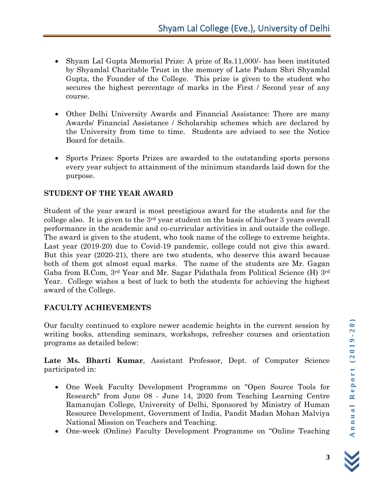- Shyam Lal Gupta Memorial Prize: A prize of Rs.11,000/- has been instituted by Shyamlal Charitable Trust in the memory of Late Padam Shri Shyamlal Gupta, the Founder of the College. This prize is given to the student who secures the highest percentage of marks in the First / Second year of any course.
- Other Delhi University Awards and Financial Assistance: There are many Awards/ Financial Assistance / Scholarship schemes which are declared by the University from time to time. Students are advised to see the Notice Board for details.
- Sports Prizes: Sports Prizes are awarded to the outstanding sports persons every year subject to attainment of the minimum standards laid down for the purpose.

#### **STUDENT OF THE YEAR AWARD**

Student of the year award is most prestigious award for the students and for the college also. It is given to the 3rd year student on the basis of his/her 3 years overall performance in the academic and co-curricular activities in and outside the college. The award is given to the student, who took name of the college to extreme heights. Last year (2019-20) due to Covid-19 pandemic, college could not give this award. But this year (2020-21), there are two students, who deserve this award because both of them got almost equal marks. The name of the students are Mr. Gagan Gaba from B.Com, 3rd Year and Mr. Sagar Pidathala from Political Science (H) 3rd Year. College wishes a best of luck to both the students for achieving the highest award of the College.

#### **FACULTY ACHIEVEMENTS**

Our faculty continued to explore newer academic heights in the current session by writing books, attending seminars, workshops, refresher courses and orientation programs as detailed below:

**Late Ms. Bharti Kumar**, Assistant Professor, Dept. of Computer Science participated in:

- One Week Faculty Development Programme on "Open Source Tools for Research" from June 08 - June 14, 2020 from Teaching Learning Centre Ramanujan College, University of Delhi, Sponsored by Ministry of Human Resource Development, Government of India, Pandit Madan Mohan Malviya National Mission on Teachers and Teaching.
- One-week (Online) Faculty Development Programme on "Online Teaching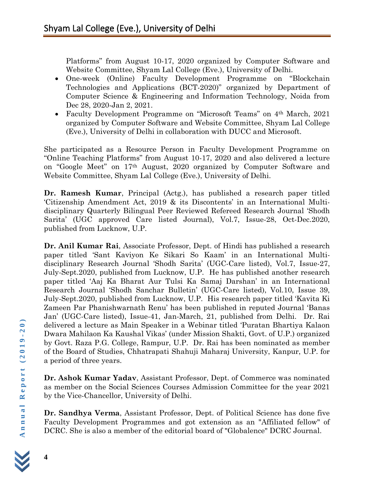Platforms" from August 10-17, 2020 organized by Computer Software and Website Committee, Shyam Lal College (Eve.), University of Delhi.

- One-week (Online) Faculty Development Programme on "Blockchain Technologies and Applications (BCT-2020)" organized by Department of Computer Science & Engineering and Information Technology, Noida from Dec 28, 2020-Jan 2, 2021.
- Faculty Development Programme on "Microsoft Teams" on 4<sup>th</sup> March, 2021 organized by Computer Software and Website Committee, Shyam Lal College (Eve.), University of Delhi in collaboration with DUCC and Microsoft.

She participated as a Resource Person in Faculty Development Programme on "Online Teaching Platforms" from August 10-17, 2020 and also delivered a lecture on "Google Meet" on 17th August, 2020 organized by Computer Software and Website Committee, Shyam Lal College (Eve.), University of Delhi.

**Dr. Ramesh Kumar**, Principal (Actg.), has published a research paper titled 'Citizenship Amendment Act, 2019 & its Discontents' in an International Multidisciplinary Quarterly Bilingual Peer Reviewed Refereed Research Journal 'Shodh Sarita' (UGC approved Care listed Journal), Vol.7, Issue-28, Oct-Dec.2020, published from Lucknow, U.P.

**Dr. Anil Kumar Rai**, Associate Professor, Dept. of Hindi has published a research paper titled 'Sant Kaviyon Ke Sikari So Kaam' in an International Multidisciplinary Research Journal 'Shodh Sarita' (UGC-Care listed), Vol.7, Issue-27, July-Sept.2020, published from Lucknow, U.P. He has published another research paper titled 'Aaj Ka Bharat Aur Tulsi Ka Samaj Darshan' in an International Research Journal 'Shodh Sanchar Bulletin' (UGC-Care listed), Vol.10, Issue 39, July-Sept.2020, published from Lucknow, U.P. His research paper titled 'Kavita Ki Zameen Par Phanishwarnath Renu' has been published in reputed Journal 'Banas Jan' (UGC-Care listed), Issue-41, Jan-March, 21, published from Delhi. Dr. Rai delivered a lecture as Main Speaker in a Webinar titled 'Puratan Bhartiya Kalaon Dwara Mahilaon Ka Kaushal Vikas' (under Mission Shakti, Govt. of U.P.) organized by Govt. Raza P.G. College, Rampur, U.P. Dr. Rai has been nominated as member of the Board of Studies, Chhatrapati Shahuji Maharaj University, Kanpur, U.P. for a period of three years.

**Dr. Ashok Kumar Yadav**, Assistant Professor, Dept. of Commerce was nominated as member on the Social Sciences Courses Admission Committee for the year 2021 by the Vice-Chancellor, University of Delhi.

**Dr. Sandhya Verma**, Assistant Professor, Dept. of Political Science has done five Faculty Development Programmes and got extension as an "Affiliated fellow" of DCRC. She is also a member of the editorial board of "Globalence" DCRC Journal.

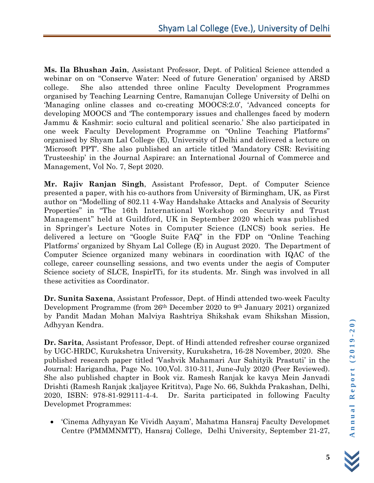**Ms. Ila Bhushan Jain**, Assistant Professor, Dept. of Political Science attended a webinar on on "Conserve Water: Need of future Generation' organised by ARSD college. She also attended three online Faculty Development Programmes organised by Teaching Learning Centre, Ramanujan College University of Delhi on 'Managing online classes and co-creating MOOCS:2.0', 'Advanced concepts for developing MOOCS and 'The contemporary issues and challenges faced by modern Jammu & Kashmir: socio cultural and political scenario.' She also participated in one week Faculty Development Programme on "Online Teaching Platforms" organised by Shyam Lal College (E), University of Delhi and delivered a lecture on 'Microsoft PPT'. She also published an article titled 'Mandatory CSR: Revisiting Trusteeship' in the Journal Aspirare: an International Journal of Commerce and Management, Vol No. 7, Sept 2020.

**Mr. Rajiv Ranjan Singh**, Assistant Professor, Dept. of Computer Science presented a paper, with his co-authors from University of Birmingham, UK, as First author on "Modelling of 802.11 4-Way Handshake Attacks and Analysis of Security Properties" in "The 16th International Workshop on Security and Trust Management" held at Guildford, UK in September 2020 which was published in Springer's Lecture Notes in Computer Science (LNCS) book series. He delivered a lecture on "Google Suite FAQ" in the FDP on "Online Teaching Platforms' organized by Shyam Lal College (E) in August 2020. The Department of Computer Science organized many webinars in coordination with IQAC of the college, career counselling sessions, and two events under the aegis of Computer Science society of SLCE, InspirITi, for its students. Mr. Singh was involved in all these activities as Coordinator.

**Dr. Sunita Saxena**, Assistant Professor, Dept. of Hindi attended two-week Faculty Development Programme (from 26th December 2020 to 9th January 2021) organized by Pandit Madan Mohan Malviya Rashtriya Shikshak evam Shikshan Mission, Adhyyan Kendra.

**Dr. Sarita**, Assistant Professor, Dept. of Hindi attended refresher course organized by UGC-HRDC, Kurukshetra University, Kurukshetra, 16-28 November, 2020. She published research paper titled 'Vashvik Mahamari Aur Sahityik Prastuti' in the Journal: Harigandha, Page No. 100,Vol. 310-311, June-July 2020 (Peer Reviewed). She also published chapter in Book viz. Ramesh Ranjak ke kavya Mein Janvadi Drishti (Ramesh Ranjak ;kaljayee Krititva), Page No. 66, Sukhda Prakashan, Delhi, 2020, ISBN: 978-81-929111-4-4. Dr. Sarita participated in following Faculty Developmet Programmes:

• 'Cinema Adhyayan Ke Vividh Aayam', Mahatma Hansraj Faculty Developmet Centre (PMMMNMTT), Hansraj College, Delhi University, September 21-27,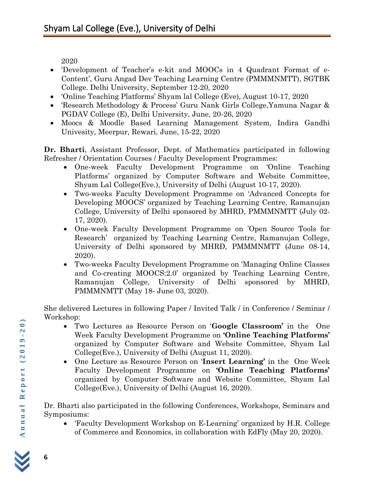2020

- 'Development of Teacher's e-kit and MOOCs in 4 Quadrant Format of e-Content', Guru Angad Dev Teaching Learning Centre (PMMMNMTT), SGTBK College. Delhi University, September 12-20, 2020
- 'Online Teaching Platforms' Shyam lal College (Eve), August 10-17, 2020
- 'Research Methodology & Process' Guru Nank Girls College,Yamuna Nagar & PGDAV College (E), Delhi University, June, 20-26, 2020
- Moocs & Moodle Based Learning Management System, Indira Gandhi Univesity, Meerpur, Rewari, June, 15-22, 2020

**Dr. Bharti**, Assistant Professor, Dept. of Mathematics participated in following Refresher / Orientation Courses / Faculty Development Programmes:

- One-week Faculty Development Programme on 'Online Teaching Platforms' organized by Computer Software and Website Committee, Shyam Lal College(Eve.), University of Delhi (August 10-17, 2020).
- Two-weeks Faculty Development Programme on 'Advanced Concepts for Developing MOOCS' organized by Teaching Learning Centre, Ramanujan College, University of Delhi sponsored by MHRD, PMMMNMTT (July 02- 17, 2020).
- One-week Faculty Development Programme on 'Open Source Tools for Research' organized by Teaching Learning Centre, Ramanujan College, University of Delhi sponsored by MHRD, PMMMNMTT (June 08-14, 2020).
- Two-weeks Faculty Development Programme on 'Managing Online Classes and Co-creating MOOCS:2.0' organized by Teaching Learning Centre, Ramanujan College, University of Delhi sponsored by MHRD, PMMMNMTT (May 18- June 03, 2020).

She delivered Lectures in following Paper / Invited Talk / in Conference / Seminar / Workshop:

- Two Lectures as Resource Person on '**Google Classroom'** in the One Week Faculty Development Programme on **'Online Teaching Platforms'** organized by Computer Software and Website Committee, Shyam Lal College(Eve.), University of Delhi (August 11, 2020).
- One Lecture as Resource Person on '**Insert Learning'** in the One Week Faculty Development Programme on **'Online Teaching Platforms'** organized by Computer Software and Website Committee, Shyam Lal College(Eve.), University of Delhi (August 16, 2020).

Dr. Bharti also participated in the following Conferences, Workshops, Seminars and Symposiums:

• 'Faculty Development Workshop on E-Learning' organized by H.R. College of Commerce and Economics, in collaboration with EdFly (May 20, 2020).

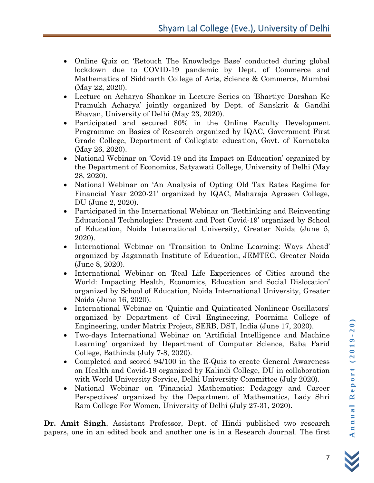- Online Quiz on 'Retouch The Knowledge Base' conducted during global lockdown due to COVID-19 pandemic by Dept. of Commerce and Mathematics of Siddharth College of Arts, Science & Commerce, Mumbai (May 22, 2020).
- Lecture on Acharya Shankar in Lecture Series on 'Bhartiye Darshan Ke Pramukh Acharya' jointly organized by Dept. of Sanskrit & Gandhi Bhavan, University of Delhi (May 23, 2020).
- Participated and secured 80% in the Online Faculty Development Programme on Basics of Research organized by IQAC, Government First Grade College, Department of Collegiate education, Govt. of Karnataka (May 26, 2020).
- National Webinar on 'Covid-19 and its Impact on Education' organized by the Department of Economics, Satyawati College, University of Delhi (May 28, 2020).
- National Webinar on 'An Analysis of Opting Old Tax Rates Regime for Financial Year 2020-21' organized by IQAC, Maharaja Agrasen College, DU (June 2, 2020).
- Participated in the International Webinar on 'Rethinking and Reinventing Educational Technologies: Present and Post Covid-19' organized by School of Education, Noida International University, Greater Noida (June 5, 2020).
- International Webinar on 'Transition to Online Learning: Ways Ahead' organized by Jagannath Institute of Education, JEMTEC, Greater Noida (June 8, 2020).
- International Webinar on 'Real Life Experiences of Cities around the World: Impacting Health, Economics, Education and Social Dislocation' organized by School of Education, Noida International University, Greater Noida (June 16, 2020).
- International Webinar on 'Quintic and Quinticated Nonlinear Oscillators' organized by Department of Civil Engineering, Poornima College of Engineering, under Matrix Project, SERB, DST, India (June 17, 2020).
- Two-days International Webinar on 'Artificial Intelligence and Machine Learning' organized by Department of Computer Science, Baba Farid College, Bathinda (July 7-8, 2020).
- Completed and scored 94/100 in the E-Quiz to create General Awareness on Health and Covid-19 organized by Kalindi College, DU in collaboration with World University Service, Delhi University Committee (July 2020).
- National Webinar on 'Financial Mathematics: Pedagogy and Career Perspectives' organized by the Department of Mathematics, Lady Shri Ram College For Women, University of Delhi (July 27-31, 2020).

**Dr. Amit Singh**, Assistant Professor, Dept. of Hindi published two research papers, one in an edited book and another one is in a Research Journal. The first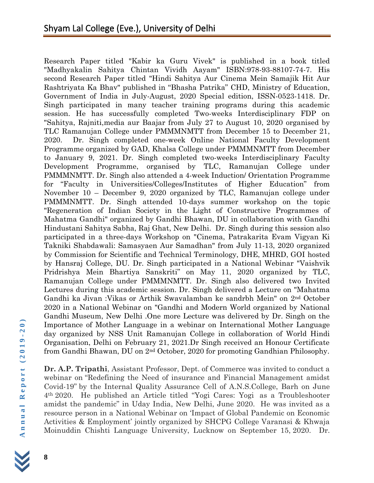Research Paper titled "Kabir ka Guru Vivek" is published in a book titled "Madhyakalin Sahitya Chintan Vividh Aayam" ISBN:978-93-88107-74-7. His second Research Paper titled "Hindi Sahitya Aur Cinema Mein Samajik Hit Aur Rashtriyata Ka Bhav" published in "Bhasha Patrika" CHD, Ministry of Education, Government of India in July-August, 2020 Special edition, ISSN-0523-1418. Dr. Singh participated in many teacher training programs during this academic session. He has successfully completed Two-weeks Interdisciplinary FDP on "Sahitya, Rajniti,media aur Baajar from July 27 to August 10, 2020 organised by TLC Ramanujan College under PMMMNMTT from December 15 to December 21, 2020. Dr. Singh completed one-week Online National Faculty Development Programme organized by GAD, Khalsa College under PMMMNMTT from December to January 9, 2021. Dr. Singh completed two-weeks Interdisciplinary Faculty Development Programme, organised by TLC, Ramanujan College under PMMMNMTT. Dr. Singh also attended a 4-week Induction/ Orientation Programme for "Faculty in Universities/Colleges/Institutes of Higher Education" from November 10 – December 9, 2020 organized by TLC, Ramanujan college under PMMMNMTT. Dr. Singh attended 10-days summer workshop on the topic "Regeneration of Indian Society in the Light of Constructive Programmes of Mahatma Gandhi" organized by Gandhi Bhawan, DU in collaboration with Gandhi Hindustani Sahitya Sabha, Raj Ghat, New Delhi. Dr. Singh during this session also participated in a three-days Workshop on "Cinema, Patrakarita Evam Vigyan Ki Takniki Shabdawali: Samasyaen Aur Samadhan" from July 11-13, 2020 organized by Commission for Scientific and Technical Terminology, DHE, MHRD, GOI hosted by Hansraj College, DU. Dr. Singh participated in a National Webinar "Vaishvik Pridrishya Mein Bhartiya Sanskriti" on May 11, 2020 organized by TLC, Ramanujan College under PMMMNMTT. Dr. Singh also delivered two Invited Lectures during this academic session. Dr. Singh delivered a Lecture on "Mahatma Gandhi ka Jivan :Vikas or Arthik Swavalamban ke sandrbh Mein" on 2nd October 2020 in a National Webinar on "Gandhi and Modern World organized by National Gandhi Museum, New Delhi .One more Lecture was delivered by Dr. Singh on the Importance of Mother Language in a webinar on International Mother Language day organized by NSS Unit Ramanujan College in collaboration of World Hindi Organisation, Delhi on February 21, 2021.Dr Singh received an Honour Certificate from Gandhi Bhawan, DU on 2nd October, 2020 for promoting Gandhian Philosophy.

**Dr. A.P. Tripathi**, Assistant Professor, Dept. of Commerce was invited to conduct a webinar on "Redefining the Need of insurance and Financial Management amidst Covid-19" by the Internal Quality Assurance Cell of A.N.S.College, Barh on June 4th 2020. He published an Article titled "Yogi Cares: Yogi as a Troubleshooter amidst the pandemic" in Uday India, New Delhi, June 2020. He was invited as a resource person in a National Webinar on 'Impact of Global Pandemic on Economic Activities & Employment' jointly organized by SHCPG College Varanasi & Khwaja Moinuddin Chishti Language University, Lucknow on September 15, 2020. Dr.

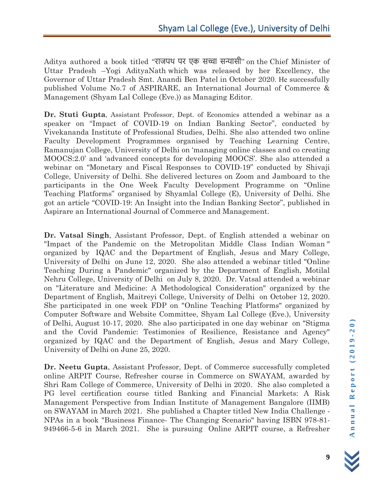Aditya authored a book titled "राजपथ पर एक सच्चा सन्यासी" on the Chief Minister of Uttar Pradesh –Yogi AdityaNath which was released by her Excellency, the Governor of Uttar Pradesh Smt. Anandi Ben Patel in October 2020. He successfully published Volume No.7 of ASPIRARE, an International Journal of Commerce & Management (Shyam Lal College (Eve.)) as Managing Editor.

**Dr. Stuti Gupta**, Assistant Professor, Dept. of Economics attended a webinar as a speaker on "Impact of COVID-19 on Indian Banking Sector", conducted by Vivekananda Institute of Professional Studies, Delhi. She also attended two online Faculty Development Programmes organised by Teaching Learning Centre, Ramanujan College, University of Delhi on 'managing online classes and co creating MOOCS:2.0' and 'advanced concepts for developing MOOCS'. She also attended a webinar on "Monetary and Fiscal Responses to COVID-19" conducted by Shivaji College, University of Delhi. She delivered lectures on Zoom and Jamboard to the participants in the One Week Faculty Development Programme on "Online Teaching Platforms" organised by Shyamlal College (E), University of Delhi. She got an article "COVID-19: An Insight into the Indian Banking Sector", published in Aspirare an International Journal of Commerce and Management.

**Dr. Vatsal Singh**, Assistant Professor, Dept. of English attended a webinar on "Impact of the Pandemic on the Metropolitan Middle Class Indian Woman " organized by IQAC and the Department of English, Jesus and Mary College, University of Delhi on June 12, 2020. She also attended a webinar titled "Online Teaching During a Pandemic" organized by the Department of English, Motilal Nehru College, University of Delhi on July 8, 2020. Dr. Vatsal attended a webinar on "Literature and Medicine: A Methodological Consideration" organized by the Department of English, Maitreyi College, University of Delhi on October 12, 2020. She participated in one week FDP on "Online Teaching Platforms" organized by Computer Software and Website Committee, Shyam Lal College (Eve.), University of Delhi, August 10-17, 2020. She also participated in one day webinar on "Stigma and the Covid Pandemic: Testimonies of Resilience, Resistance and Agency" organized by IQAC and the Department of English, Jesus and Mary College, University of Delhi on June 25, 2020.

**Dr. Neetu Gupta**, Assistant Professor, Dept. of Commerce successfully completed online ARPIT Course, Refresher course in Commerce on SWAYAM, awarded by Shri Ram College of Commerce, University of Delhi in 2020. She also completed a PG level certification course titled Banking and Financial Markets: A Risk Management Perspective from Indian Institute of Management Bangalore (IIMB) on SWAYAM in March 2021. She published a Chapter titled New India Challenge - NPAs in a book "Business Finance- The Changing Scenario" having ISBN 978-81- 949466-5-6 in March 2021. She is pursuing Online ARPIT course, a Refresher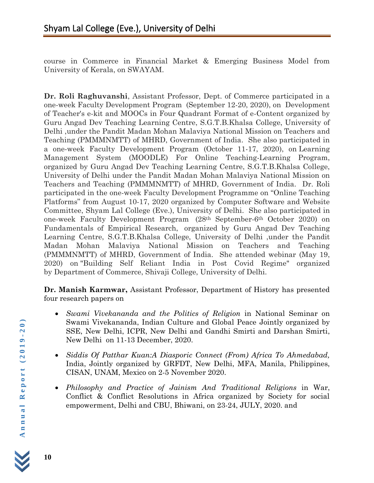course in Commerce in Financial Market & Emerging Business Model from University of Kerala, on SWAYAM.

**Dr. Roli Raghuvanshi**, Assistant Professor, Dept. of Commerce participated in a one-week Faculty Development Program (September 12-20, 2020), on Development of Teacher's e-kit and MOOCs in Four Quadrant Format of e-Content organized by Guru Angad Dev Teaching Learning Centre, S.G.T.B.Khalsa College, University of Delhi ,under the Pandit Madan Mohan Malaviya National Mission on Teachers and Teaching (PMMMNMTT) of MHRD, Government of India. She also participated in a one-week Faculty Development Program (October 11-17, 2020), on Learning Management System (MOODLE) For Online Teaching-Learning Program, organized by Guru Angad Dev Teaching Learning Centre, S.G.T.B.Khalsa College, University of Delhi under the Pandit Madan Mohan Malaviya National Mission on Teachers and Teaching (PMMMNMTT) of MHRD, Government of India. Dr. Roli participated in the one-week Faculty Development Programme on "Online Teaching Platforms" from August 10-17, 2020 organized by Computer Software and Website Committee, Shyam Lal College (Eve.), University of Delhi. She also participated in one-week Faculty Development Program (28th September-6th October 2020) on Fundamentals of Empirical Research, organized by Guru Angad Dev Teaching Learning Centre, S.G.T.B.Khalsa College, University of Delhi ,under the Pandit Madan Mohan Malaviya National Mission on Teachers and Teaching (PMMMNMTT) of MHRD, Government of India. She attended webinar (May 19, 2020) on "Building Self Reliant India in Post Covid Regime" organized by Department of Commerce, Shivaji College, University of Delhi.

**Dr. Manish Karmwar,** Assistant Professor, Department of History has presented four research papers on

- *Swami Vivekananda and the Politics of Religion* in National Seminar on Swami Vivekananda, Indian Culture and Global Peace Jointly organized by SSE, New Delhi, ICPR, New Delhi and Gandhi Smirti and Darshan Smirti, New Delhi on 11-13 December, 2020.
- *Siddis Of Patthar Kuan:A Diasporic Connect (From) Africa To Ahmedabad,* India, Jointly organized by GRFDT, New Delhi, MFA, Manila, Philippines, CISAN, UNAM, Mexico on 2-5 November 2020.
- *Philosophy and Practice of Jainism And Traditional Religions* in War, Conflict & Conflict Resolutions in Africa organized by Society for social empowerment, Delhi and CBU, Bhiwani, on 23-24, JULY, 2020. and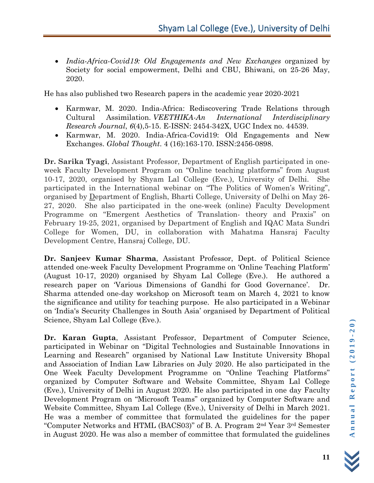• *India-Africa-Covid19: Old Engagements and New Exchanges* organized by Society for social empowerment, Delhi and CBU, Bhiwani, on 25-26 May, 2020.

He has also published two Research papers in the academic year 2020-2021

- Karmwar, M. 2020. India-Africa: Rediscovering Trade Relations through Cultural Assimilation. *VEETHIKA-An International Interdisciplinary Research Journal*, *6*(4),5-15. E-ISSN: 2454-342X, UGC Index no. 44539.
- Karmwar, M. 2020. India-Africa-Covid19: Old Engagements and New Exchanges. *Global Thought*. 4 (16):163-170. ISSN:2456-0898.

**Dr. Sarika Tyagi**, Assistant Professor, Department of English participated in oneweek Faculty Development Program on "Online teaching platforms" from August 10-17, 2020, organised by Shyam Lal College (Eve.), University of Delhi. She participated in the International webinar on "The Politics of Women's Writing", organised by Department of English, Bharti College, University of Delhi on May 26- 27, 2020. She also participated in the one-week (online) Faculty Development Programme on "Emergent Aesthetics of Translation- theory and Praxis" on February 19-25, 2021, organised by Department of English and IQAC Mata Sundri College for Women, DU, in collaboration with Mahatma Hansraj Faculty Development Centre, Hansraj College, DU.

**Dr. Sanjeev Kumar Sharma**, Assistant Professor, Dept. of Political Science attended one-week Faculty Development Programme on 'Online Teaching Platform' (August 10-17, 2020) organised by Shyam Lal College (Eve.). He authored a research paper on 'Various Dimensions of Gandhi for Good Governance'. Sharma attended one-day workshop on Microsoft team on March 4, 2021 to know the significance and utility for teaching purpose. He also participated in a Webinar on 'India's Security Challenges in South Asia' organised by Department of Political Science, Shyam Lal College (Eve.).

**Dr. Karan Gupta**, Assistant Professor, Department of Computer Science, participated in Webinar on "Digital Technologies and Sustainable Innovations in Learning and Research" organised by National Law Institute University Bhopal and Association of Indian Law Libraries on July 2020. He also participated in the One Week Faculty Development Programme on "Online Teaching Platforms" organized by Computer Software and Website Committee, Shyam Lal College (Eve.), University of Delhi in August 2020. He also participated in one day Faculty Development Program on "Microsoft Teams" organized by Computer Software and Website Committee, Shyam Lal College (Eve.), University of Delhi in March 2021. He was a member of committee that formulated the guidelines for the paper "Computer Networks and HTML (BACS03)" of B. A. Program 2nd Year 3rd Semester in August 2020. He was also a member of committee that formulated the guidelines

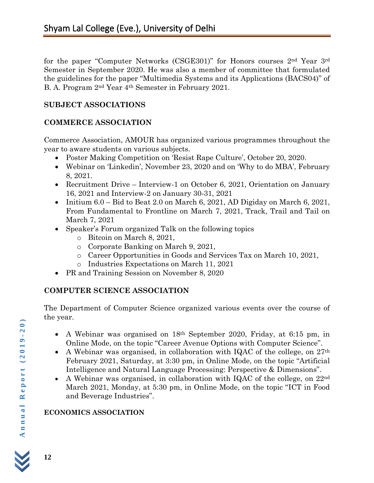for the paper "Computer Networks (CSGE301)" for Honors courses 2nd Year 3rd Semester in September 2020. He was also a member of committee that formulated the guidelines for the paper "Multimedia Systems and its Applications (BACS04)" of B. A. Program 2nd Year 4th Semester in February 2021.

#### **SUBJECT ASSOCIATIONS**

#### **COMMERCE ASSOCIATION**

Commerce Association, AMOUR has organized various programmes throughout the year to aware students on various subjects.

- Poster Making Competition on 'Resist Rape Culture', October 20, 2020.
- Webinar on 'Linkedin', November 23, 2020 and on 'Why to do MBA', February 8, 2021.
- Recruitment Drive Interview-1 on October 6, 2021, Orientation on January 16, 2021 and Interview-2 on January 30-31, 2021
- Initium  $6.0 -$  Bid to Beat 2.0 on March 6, 2021, AD Digiday on March 6, 2021, From Fundamental to Frontline on March 7, 2021, Track, Trail and Tail on March 7, 2021
- Speaker's Forum organized Talk on the following topics
	- o Bitcoin on March 8, 2021,
	- o Corporate Banking on March 9, 2021,
	- o Career Opportunities in Goods and Services Tax on March 10, 2021,
	- o Industries Expectations on March 11, 2021
- PR and Training Session on November 8, 2020

## **COMPUTER SCIENCE ASSOCIATION**

The Department of Computer Science organized various events over the course of the year.

- A Webinar was organised on 18th September 2020, Friday, at 6:15 pm, in Online Mode, on the topic "Career Avenue Options with Computer Science".
- A Webinar was organised, in collaboration with IQAC of the college, on  $27<sup>th</sup>$ February 2021, Saturday, at 3:30 pm, in Online Mode, on the topic "Artificial Intelligence and Natural Language Processing: Perspective & Dimensions".
- A Webinar was organised, in collaboration with IQAC of the college, on  $22^{\text{nd}}$ March 2021, Monday, at 5:30 pm, in Online Mode, on the topic "ICT in Food and Beverage Industries".

## **ECONOMICS ASSOCIATION**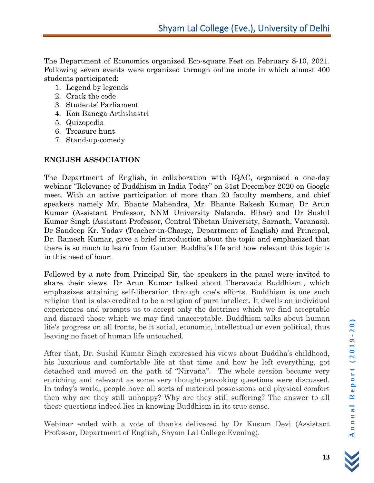The Department of Economics organized Eco-square Fest on February 8-10, 2021. Following seven events were organized through online mode in which almost 400 students participated:

- 1. Legend by legends
- 2. Crack the code
- 3. Students' Parliament
- 4. Kon Banega Arthshastri
- 5. Quizopedia
- 6. Treasure hunt
- 7. Stand-up-comedy

## **ENGLISH ASSOCIATION**

The Department of English, in collaboration with IQAC, organised a one-day webinar "Relevance of Buddhism in India Today" on 31st December 2020 on Google meet. With an active participation of more than 20 faculty members, and chief speakers namely Mr. Bhante Mahendra, Mr. Bhante Rakesh Kumar, Dr Arun Kumar (Assistant Professor, NNM University Nalanda, Bihar) and Dr Sushil Kumar Singh (Assistant Professor, Central Tibetan University, Sarnath, Varanasi). Dr Sandeep Kr. Yadav (Teacher-in-Charge, Department of English) and Principal, Dr. Ramesh Kumar, gave a brief introduction about the topic and emphasized that there is so much to learn from Gautam Buddha's life and how relevant this topic is in this need of hour.

Followed by a note from Principal Sir, the speakers in the panel were invited to share their views. Dr Arun Kumar talked about Theravada Buddhism , which emphasizes attaining self-liberation through one's efforts. Buddhism is one such religion that is also credited to be a religion of pure intellect. It dwells on individual experiences and prompts us to accept only the doctrines which we find acceptable and discard those which we may find unacceptable. Buddhism talks about human life's progress on all fronts, be it social, economic, intellectual or even political, thus leaving no facet of human life untouched.

After that, Dr. Sushil Kumar Singh expressed his views about Buddha's childhood, his luxurious and comfortable life at that time and how he left everything, got detached and moved on the path of "Nirvana". The whole session became very enriching and relevant as some very thought-provoking questions were discussed. In today's world, people have all sorts of material possessions and physical comfort then why are they still unhappy? Why are they still suffering? The answer to all these questions indeed lies in knowing Buddhism in its true sense.

Webinar ended with a vote of thanks delivered by Dr Kusum Devi (Assistant Professor, Department of English, Shyam Lal College Evening).

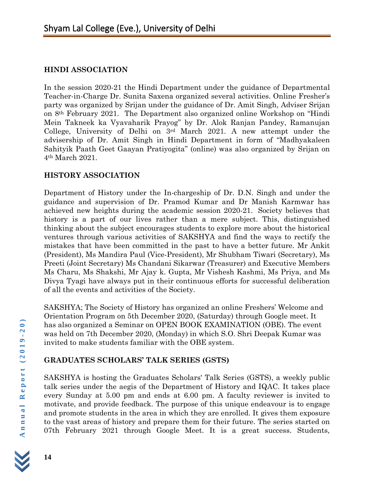### **HINDI ASSOCIATION**

In the session 2020-21 the Hindi Department under the guidance of Departmental Teacher-in-Charge Dr. Sunita Saxena organized several activities. Online Fresher's party was organized by Srijan under the guidance of Dr. Amit Singh, Adviser Srijan on 8th February 2021. The Department also organized online Workshop on "Hindi Mein Takneek ka Vyavaharik Prayog" by Dr. Alok Ranjan Pandey, Ramanujan College, University of Delhi on 3rd March 2021. A new attempt under the advisership of Dr. Amit Singh in Hindi Department in form of "Madhyakaleen Sahityik Paath Geet Gaayan Pratiyogita" (online) was also organized by Srijan on 4th March 2021.

#### **HISTORY ASSOCIATION**

Department of History under the In-chargeship of Dr. D.N. Singh and under the guidance and supervision of Dr. Pramod Kumar and Dr Manish Karmwar has achieved new heights during the academic session 2020-21. Society believes that history is a part of our lives rather than a mere subject. This, distinguished thinking about the subject encourages students to explore more about the historical ventures through various activities of SAKSHYA and find the ways to rectify the mistakes that have been committed in the past to have a better future. Mr Ankit (President), Ms Mandira Paul (Vice-President), Mr Shubham Tiwari (Secretary), Ms Preeti (Joint Secretary) Ms Chandani Sikarwar (Treasurer) and Executive Members Ms Charu, Ms Shakshi, Mr Ajay k. Gupta, Mr Vishesh Kashmi, Ms Priya, and Ms Divya Tyagi have always put in their continuous efforts for successful deliberation of all the events and activities of the Society.

SAKSHYA; The Society of History has organized an online Freshers' Welcome and Orientation Program on 5th December 2020, (Saturday) through Google meet. It has also organized a Seminar on OPEN BOOK EXAMINATION (OBE). The event was held on 7th December 2020, (Monday) in which S.O. Shri Deepak Kumar was invited to make students familiar with the OBE system.

## **GRADUATES SCHOLARS' TALK SERIES (GSTS)**

SAKSHYA is hosting the Graduates Scholars' Talk Series (GSTS), a weekly public talk series under the aegis of the Department of History and IQAC. It takes place every Sunday at 5.00 pm and ends at 6.00 pm. A faculty reviewer is invited to motivate, and provide feedback. The purpose of this unique endeavour is to engage and promote students in the area in which they are enrolled. It gives them exposure to the vast areas of history and prepare them for their future. The series started on 07th February 2021 through Google Meet. It is a great success. Students,

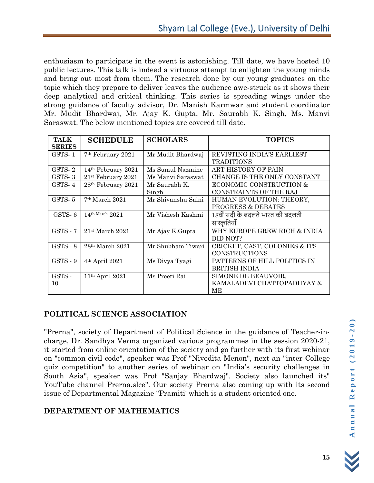enthusiasm to participate in the event is astonishing. Till date, we have hosted 10 public lectures. This talk is indeed a virtuous attempt to enlighten the young minds and bring out most from them. The research done by our young graduates on the topic which they prepare to deliver leaves the audience awe-struck as it shows their deep analytical and critical thinking. This series is spreading wings under the strong guidance of faculty advisor, Dr. Manish Karmwar and student coordinator Mr. Mudit Bhardwaj, Mr. Ajay K. Gupta, Mr. Saurabh K. Singh, Ms. Manvi Saraswat. The below mentioned topics are covered till date.

| <b>TALK</b>   | <b>SCHEDULE</b>                | <b>SCHOLARS</b>    | <b>TOPICS</b>                    |
|---------------|--------------------------------|--------------------|----------------------------------|
| <b>SERIES</b> |                                |                    |                                  |
| GSTS-1        | 7 <sup>th</sup> February 2021  | Mr Mudit Bhardwaj  | REVISTING INDIA'S EARLIEST       |
|               |                                |                    | <b>TRADITIONS</b>                |
| GSTS-2        | 14 <sup>th</sup> February 2021 | Ms Sumul Nazmine   | ART HISTORY OF PAIN              |
| GSTS-3        | $21st$ February 2021           | Ms Manyi Saraswat  | CHANGE IS THE ONLY CONSTANT      |
| GSTS-4        | 28 <sup>th</sup> February 2021 | Mr Saurabh K.      | ECONOMIC CONSTRUCTION &          |
|               |                                | Singh              | <b>CONSTRAINTS OF THE RAJ</b>    |
| GSTS-5        | $7th$ March 2021               | Mr Shivanshu Saini | HUMAN EVOLUTION: THEORY,         |
|               |                                |                    | <b>PROGRESS &amp; DEBATES</b>    |
| GSTS-6        | 14th March $2021$              | Mr Vishesh Kashmi  | 18वीं सदी के बदलते भारत की बदलती |
|               |                                |                    | सांस्कृतियाँ                     |
| GSTS - 7      | $21st$ March $2021$            | Mr Ajay K.Gupta    | WHY EUROPE GREW RICH & INDIA     |
|               |                                |                    | DID NOT?                         |
| $GSTS - 8$    | $28th$ March $2021$            | Mr Shubham Tiwari  | CRICKET, CAST, COLONIES & ITS    |
|               |                                |                    | <b>CONSTRUCTIONS</b>             |
| GSTS - 9      | 4 <sup>th</sup> April 2021     | Ms Divya Tyagi     | PATTERNS OF HILL POLITICS IN     |
|               |                                |                    | BRITISH INDIA                    |
| GSTS -        | $11th$ April 2021              | Ms Preeti Rai      | SIMONE DE BEAUVOIR,              |
| 10            |                                |                    | KAMALADEVI CHATTOPADHYAY &       |
|               |                                |                    | MЕ                               |

#### **POLITICAL SCIENCE ASSOCIATION**

"Prerna", society of Department of Political Science in the guidance of Teacher-incharge, Dr. Sandhya Verma organized various programmes in the session 2020-21, it started from online orientation of the society and go further with its first webinar on "common civil code", speaker was Prof "Nivedita Menon", next an "inter College quiz competition" to another series of webinar on "India's security challenges in South Asia", speaker was Prof "Sanjay Bhardwaj". Society also launched its" YouTube channel Prerna.slce". Our society Prerna also coming up with its second issue of Departmental Magazine "Pramiti' which is a student oriented one.

## **DEPARTMENT OF MATHEMATICS**

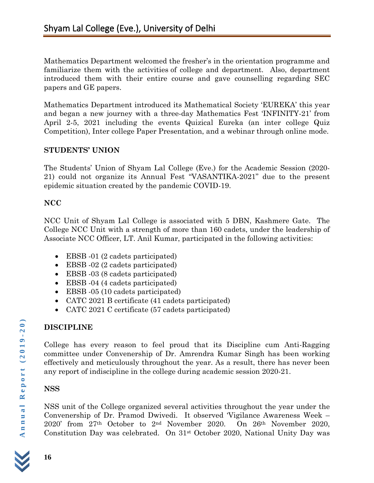Mathematics Department welcomed the fresher's in the orientation programme and familiarize them with the activities of college and department. Also, department introduced them with their entire course and gave counselling regarding SEC papers and GE papers.

Mathematics Department introduced its Mathematical Society 'EUREKA' this year and began a new journey with a three-day Mathematics Fest 'INFINITY-21' from April 2-5, 2021 including the events Quizical Eureka (an inter college Quiz Competition), Inter college Paper Presentation, and a webinar through online mode.

#### **STUDENTS' UNION**

The Students' Union of Shyam Lal College (Eve.) for the Academic Session (2020- 21) could not organize its Annual Fest "VASANTIKA-2021" due to the present epidemic situation created by the pandemic COVID-19.

#### **NCC**

NCC Unit of Shyam Lal College is associated with 5 DBN, Kashmere Gate. The College NCC Unit with a strength of more than 160 cadets, under the leadership of Associate NCC Officer, LT. Anil Kumar, participated in the following activities:

- EBSB -01 (2 cadets participated)
- EBSB -02 (2 cadets participated)
- EBSB -03 (8 cadets participated)
- EBSB -04 (4 cadets participated)
- EBSB -05 (10 cadets participated)
- CATC 2021 B certificate (41 cadets participated)
- CATC 2021 C certificate (57 cadets participated)

# **DISCIPLINE**

College has every reason to feel proud that its Discipline cum Anti-Ragging committee under Convenership of Dr. Amrendra Kumar Singh has been working effectively and meticulously throughout the year. As a result, there has never been any report of indiscipline in the college during academic session 2020-21.

#### **NSS**

NSS unit of the College organized several activities throughout the year under the Convenership of Dr. Pramod Dwivedi. It observed 'Vigilance Awareness Week – 2020' from 27th October to 2nd November 2020. On 26th November 2020, Constitution Day was celebrated. On 31st October 2020, National Unity Day was

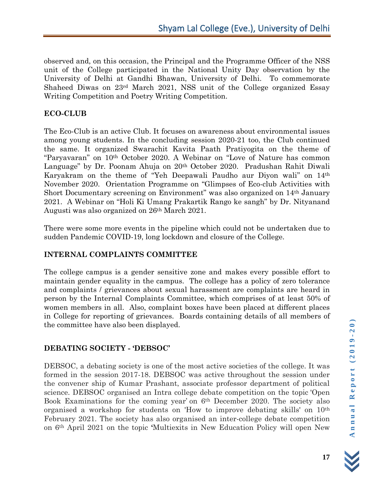observed and, on this occasion, the Principal and the Programme Officer of the NSS unit of the College participated in the National Unity Day observation by the University of Delhi at Gandhi Bhawan, University of Delhi. To commemorate Shaheed Diwas on 23rd March 2021, NSS unit of the College organized Essay Writing Competition and Poetry Writing Competition.

#### **ECO-CLUB**

The Eco-Club is an active Club. It focuses on awareness about environmental issues among young students. In the concluding session 2020-21 too, the Club continued the same. It organized Swarachit Kavita Paath Pratiyogita on the theme of "Paryavaran" on 10th October 2020. A Webinar on "Love of Nature has common Language" by Dr. Poonam Ahuja on 20<sup>th</sup> October 2020. Pradushan Rahit Diwali Karyakram on the theme of "Yeh Deepawali Paudho aur Diyon wali" on 14th November 2020. Orientation Programme on "Glimpses of Eco-club Activities with Short Documentary screening on Environment" was also organized on 14th January 2021. A Webinar on "Holi Ki Umang Prakartik Rango ke sangh" by Dr. Nityanand Augusti was also organized on 26th March 2021.

There were some more events in the pipeline which could not be undertaken due to sudden Pandemic COVID-19, long lockdown and closure of the College.

#### **INTERNAL COMPLAINTS COMMITTEE**

The college campus is a gender sensitive zone and makes every possible effort to maintain gender equality in the campus. The college has a policy of zero tolerance and complaints / grievances about sexual harassment are complaints are heard in person by the Internal Complaints Committee, which comprises of at least 50% of women members in all. Also, complaint boxes have been placed at different places in College for reporting of grievances. Boards containing details of all members of the committee have also been displayed.

#### **DEBATING SOCIETY - 'DEBSOC'**

DEBSOC, a debating society is one of the most active societies of the college. It was formed in the session 2017-18. DEBSOC was active throughout the session under the convener ship of Kumar Prashant, associate professor department of political science. DEBSOC organised an Intra college debate competition on the topic 'Open Book Examinations for the coming year' on 6th December 2020. The society also organised a workshop for students on 'How to improve debating skills' on 10th February 2021. The society has also organised an inter-college debate competition on 6th April 2021 on the topic **'**Multiexits in New Education Policy will open New

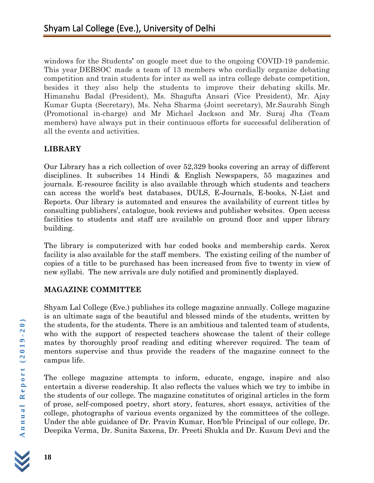windows for the Students**'** on google meet due to the ongoing COVID-19 pandemic. This year DEBSOC made a team of 13 members who cordially organize debating competition and train students for inter as well as intra college debate competition, besides it they also help the students to improve their debating skills. Mr. Himanshu Badal (President), Ms. Shagufta Ansari (Vice President), Mr. Ajay Kumar Gupta (Secretary), Ms. Neha Sharma (Joint secretary), Mr.Saurabh Singh (Promotional in-charge) and Mr Michael Jackson and Mr. Suraj Jha (Team members) have always put in their continuous efforts for successful deliberation of all the events and activities.

## **LIBRARY**

Our Library has a rich collection of over 52,329 books covering an array of different disciplines. It subscribes 14 Hindi & English Newspapers, 55 magazines and journals. E-resource facility is also available through which students and teachers can access the world's best databases, DULS, E-Journals, E-books, N-List and Reports. Our library is automated and ensures the availability of current titles by consulting publishers', catalogue, book reviews and publisher websites. Open access facilities to students and staff are available on ground floor and upper library building.

The library is computerized with bar coded books and membership cards. Xerox facility is also available for the staff members. The existing ceiling of the number of copies of a title to be purchased has been increased from five to twenty in view of new syllabi. The new arrivals are duly notified and prominently displayed.

#### **MAGAZINE COMMITTEE**

Shyam Lal College (Eve.) publishes its college magazine annually. College magazine is an ultimate saga of the beautiful and blessed minds of the students, written by the students, for the students. There is an ambitious and talented team of students, who with the support of respected teachers showcase the talent of their college mates by thoroughly proof reading and editing wherever required. The team of mentors supervise and thus provide the readers of the magazine connect to the campus life.

The college magazine attempts to inform, educate, engage, inspire and also entertain a diverse readership. It also reflects the values which we try to imbibe in the students of our college. The magazine constitutes of original articles in the form of prose, self-composed poetry, short story, features, short essays, activities of the college, photographs of various events organized by the committees of the college. Under the able guidance of Dr. Pravin Kumar, Hon'ble Principal of our college, Dr. Deepika Verma, Dr. Sunita Saxena, Dr. Preeti Shukla and Dr. Kusum Devi and the

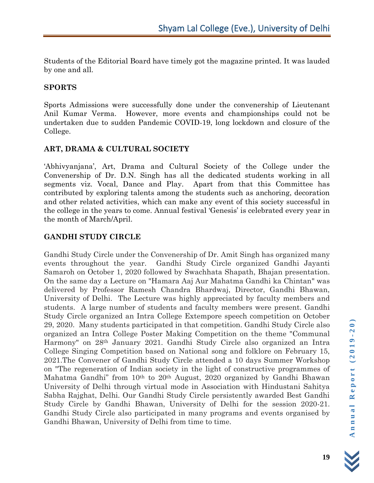Students of the Editorial Board have timely got the magazine printed. It was lauded by one and all.

#### **SPORTS**

Sports Admissions were successfully done under the convenership of Lieutenant Anil Kumar Verma. However, more events and championships could not be undertaken due to sudden Pandemic COVID-19, long lockdown and closure of the College.

#### **ART, DRAMA & CULTURAL SOCIETY**

'Abhivyanjana', Art, Drama and Cultural Society of the College under the Convenership of Dr. D.N. Singh has all the dedicated students working in all segments viz. Vocal, Dance and Play. Apart from that this Committee has contributed by exploring talents among the students such as anchoring, decoration and other related activities, which can make any event of this society successful in the college in the years to come. Annual festival 'Genesis' is celebrated every year in the month of March/April.

#### **GANDHI STUDY CIRCLE**

Gandhi Study Circle under the Convenership of Dr. Amit Singh has organized many events throughout the year. Gandhi Study Circle organized Gandhi Jayanti Samaroh on October 1, 2020 followed by Swachhata Shapath, Bhajan presentation. On the same day a Lecture on "Hamara Aaj Aur Mahatma Gandhi ka Chintan" was delivered by Professor Ramesh Chandra Bhardwaj, Director, Gandhi Bhawan, University of Delhi. The Lecture was highly appreciated by faculty members and students. A large number of students and faculty members were present. Gandhi Study Circle organized an Intra College Extempore speech competition on October 29, 2020. Many students participated in that competition. Gandhi Study Circle also organized an Intra College Poster Making Competition on the theme "Communal Harmony" on 28th January 2021. Gandhi Study Circle also organized an Intra College Singing Competition based on National song and folklore on February 15, 2021.The Convener of Gandhi Study Circle attended a 10 days Summer Workshop on "The regeneration of Indian society in the light of constructive programmes of Mahatma Gandhi" from 10<sup>th</sup> to 20<sup>th</sup> August, 2020 organized by Gandhi Bhawan University of Delhi through virtual mode in Association with Hindustani Sahitya Sabha Rajghat, Delhi. Our Gandhi Study Circle persistently awarded Best Gandhi Study Circle by Gandhi Bhawan, University of Delhi for the session 2020-21. Gandhi Study Circle also participated in many programs and events organised by Gandhi Bhawan, University of Delhi from time to time.

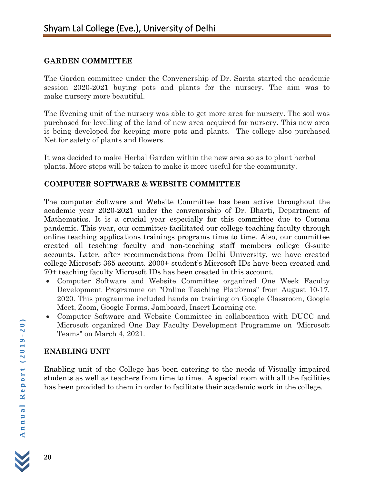#### **GARDEN COMMITTEE**

The Garden committee under the Convenership of Dr. Sarita started the academic session 2020-2021 buying pots and plants for the nursery. The aim was to make nursery more beautiful.

The Evening unit of the nursery was able to get more area for nursery. The soil was purchased for levelling of the land of new area acquired for nursery. This new area is being developed for keeping more pots and plants. The college also purchased Net for safety of plants and flowers.

It was decided to make Herbal Garden within the new area so as to plant herbal plants. More steps will be taken to make it more useful for the community.

## **COMPUTER SOFTWARE & WEBSITE COMMITTEE**

The computer Software and Website Committee has been active throughout the academic year 2020-2021 under the convenorship of Dr. Bharti, Department of Mathematics. It is a crucial year especially for this committee due to Corona pandemic. This year, our committee facilitated our college teaching faculty through online teaching applications trainings programs time to time. Also, our committee created all teaching faculty and non-teaching staff members college G-suite accounts. Later, after recommendations from Delhi University, we have created college Microsoft 365 account. 2000+ student's Microsoft IDs have been created and 70+ teaching faculty Microsoft IDs has been created in this account.

- Computer Software and Website Committee organized One Week Faculty Development Programme on "Online Teaching Platforms" from August 10-17, 2020. This programme included hands on training on Google Classroom, Google Meet, Zoom, Google Forms, Jamboard, Insert Learning etc.
- Computer Software and Website Committee in collaboration with DUCC and Microsoft organized One Day Faculty Development Programme on "Microsoft Teams" on March 4, 2021.

## **ENABLING UNIT**

Enabling unit of the College has been catering to the needs of Visually impaired students as well as teachers from time to time. A special room with all the facilities has been provided to them in order to facilitate their academic work in the college.

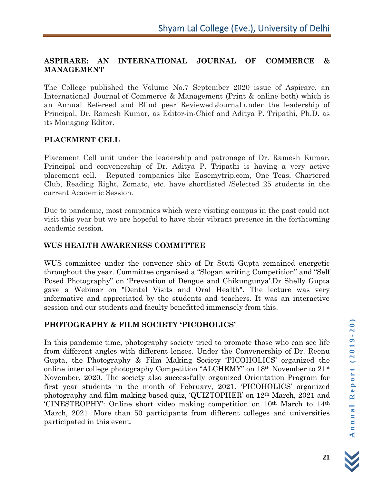#### **ASPIRARE: AN INTERNATIONAL JOURNAL OF COMMERCE & MANAGEMENT**

The College published the Volume No.7 September 2020 issue of Aspirare, an International Journal of Commerce & Management (Print & online both) which is an Annual Refereed and Blind peer Reviewed Journal under the leadership of Principal, Dr. Ramesh Kumar, as Editor-in-Chief and Aditya P. Tripathi, Ph.D. as its Managing Editor.

#### **PLACEMENT CELL**

Placement Cell unit under the leadership and patronage of Dr. Ramesh Kumar, Principal and convenership of Dr. Aditya P. Tripathi is having a very active placement cell. Reputed companies like Easemytrip.com, One Teas, Chartered Club, Reading Right, Zomato, etc. have shortlisted /Selected 25 students in the current Academic Session.

Due to pandemic, most companies which were visiting campus in the past could not visit this year but we are hopeful to have their vibrant presence in the forthcoming academic session.

#### **WUS HEALTH AWARENESS COMMITTEE**

WUS committee under the convener ship of Dr Stuti Gupta remained energetic throughout the year. Committee organised a "Slogan writing Competition" and "Self Posed Photography" on 'Prevention of Dengue and Chikungunya'.Dr Shelly Gupta gave a Webinar on "Dental Visits and Oral Health". The lecture was very informative and appreciated by the students and teachers. It was an interactive session and our students and faculty benefitted immensely from this.

## **PHOTOGRAPHY & FILM SOCIETY 'PICOHOLICS'**

In this pandemic time, photography society tried to promote those who can see life from different angles with different lenses. Under the Convenership of Dr. Reenu Gupta, the Photography & Film Making Society 'PICOHOLICS' organized the online inter college photography Competition "ALCHEMY" on 18th November to 21st November, 2020. The society also successfully organized Orientation Program for first year students in the month of February, 2021. 'PICOHOLICS' organized photography and film making based quiz, 'QUIZTOPHER' on 12th March, 2021 and 'CINESTROPHY': Online short video making competition on 10th March to 14th March, 2021. More than 50 participants from different colleges and universities participated in this event.

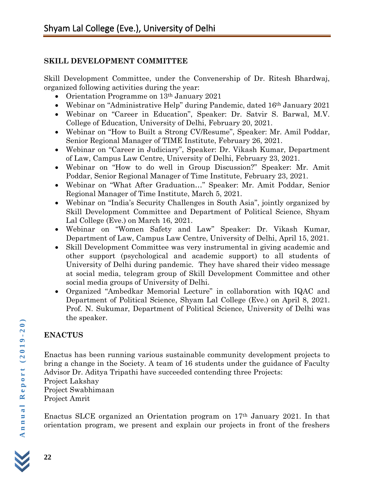#### **SKILL DEVELOPMENT COMMITTEE**

Skill Development Committee, under the Convenership of Dr. Ritesh Bhardwaj, organized following activities during the year:

- Orientation Programme on 13<sup>th</sup> January 2021
- Webinar on "Administrative Help" during Pandemic, dated 16<sup>th</sup> January 2021
- Webinar on "Career in Education", Speaker: Dr. Satvir S. Barwal, M.V. College of Education, University of Delhi, February 20, 2021.
- Webinar on "How to Built a Strong CV/Resume", Speaker: Mr. Amil Poddar, Senior Regional Manager of TIME Institute, February 26, 2021.
- Webinar on "Career in Judiciary", Speaker: Dr. Vikash Kumar, Department of Law, Campus Law Centre, University of Delhi, February 23, 2021.
- Webinar on "How to do well in Group Discussion?" Speaker: Mr. Amit Poddar, Senior Regional Manager of Time Institute, February 23, 2021.
- Webinar on "What After Graduation…" Speaker: Mr. Amit Poddar, Senior Regional Manager of Time Institute, March 5, 2021.
- Webinar on "India's Security Challenges in South Asia", jointly organized by Skill Development Committee and Department of Political Science, Shyam Lal College (Eve.) on March 16, 2021.
- Webinar on "Women Safety and Law" Speaker: Dr. Vikash Kumar, Department of Law, Campus Law Centre, University of Delhi, April 15, 2021.
- Skill Development Committee was very instrumental in giving academic and other support (psychological and academic support) to all students of University of Delhi during pandemic. They have shared their video message at social media, telegram group of Skill Development Committee and other social media groups of University of Delhi.
- Organized "Ambedkar Memorial Lecture" in collaboration with IQAC and Department of Political Science, Shyam Lal College (Eve.) on April 8, 2021. Prof. N. Sukumar, Department of Political Science, University of Delhi was the speaker.

# **ENACTUS**

Enactus has been running various sustainable community development projects to bring a change in the Society. A team of 16 students under the guidance of Faculty Advisor Dr. Aditya Tripathi have succeeded contending three Projects:

Project Lakshay Project Swabhimaan Project Amrit

Enactus SLCE organized an Orientation program on 17th January 2021. In that orientation program, we present and explain our projects in front of the freshers